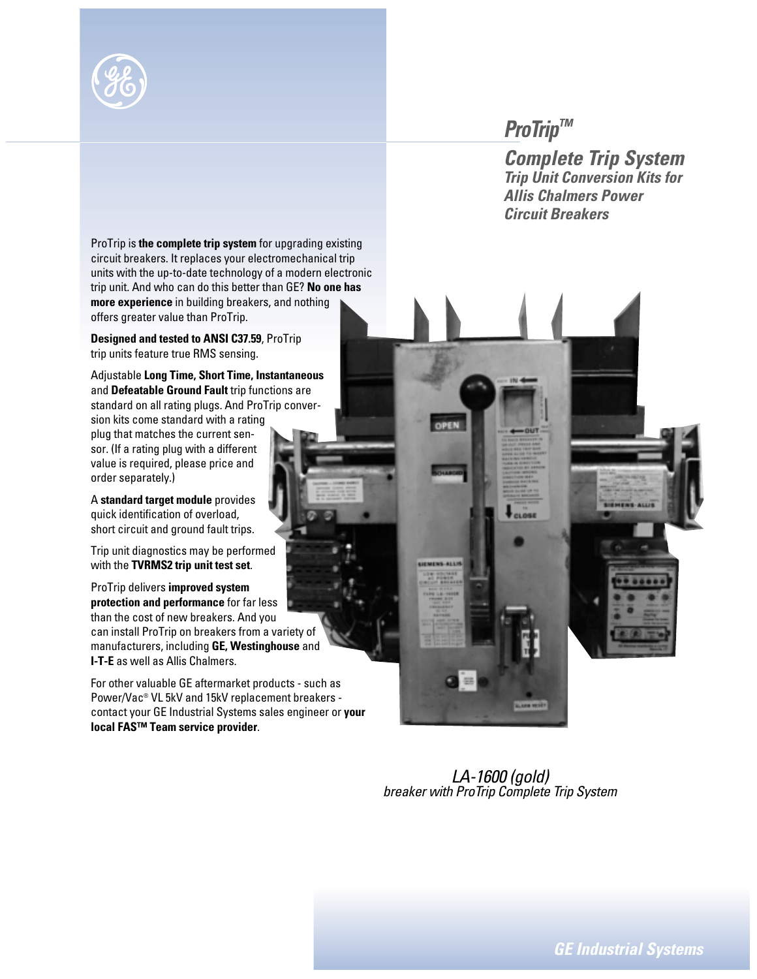

## *ProTrip™*

*Complete Trip System Trip Unit Conversion Kits for Allis Chalmers Power Circuit Breakers*

ProTrip is **the complete trip system** for upgrading existing circuit breakers. It replaces your electromechanical trip units with the up-to-date technology of a modern electronic trip unit. And who can do this better than GE? **No one has more experience** in building breakers, and nothing offers greater value than ProTrip.

**Designed and tested to ANSI C37.59**, ProTrip trip units feature true RMS sensing.

Adjustable **Long Time, Short Time, Instantaneous** and **Defeatable Ground Fault** trip functions are standard on all rating plugs. And ProTrip conversion kits come standard with a rating plug that matches the current sensor. (If a rating plug with a different value is required, please price and order separately.)

A **standard target module** provides quick identification of overload, short circuit and ground fault trips.

Trip unit diagnostics may be performed with the **TVRMS2 trip unit test set**.

ProTrip delivers **improved system protection and performance** for far less than the cost of new breakers. And you can install ProTrip on breakers from a variety of manufacturers, including **GE, Westinghouse** and **I-T-E** as well as Allis Chalmers.

For other valuable GE aftermarket products - such as Power/Vac® VL 5kV and 15kV replacement breakers contact your GE Industrial Systems sales engineer or **your local FAS™ Team service provider**.

**MENS-ALLI** 

*LA-1600 (gold) breaker with ProTrip Complete Trip System*